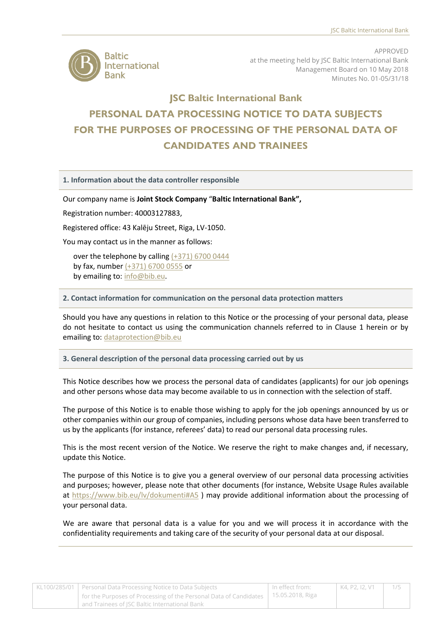

APPROVED at the meeting held by JSC Baltic International Bank Management Board on 10 May 2018 Minutes No. 01-05/31/18

# **ISC Baltic International Bank** PERSONAL DATA PROCESSING NOTICE TO DATA SUBJECTS **FOR THE PURPOSES OF PROCESSING OF THE PERSONAL DATA OF CANDIDATES AND TRAINEES**

**1. Information about the data controller responsible** 

Our company name is **Joint Stock Company** "**Baltic International Bank",**

Registration number: 40003127883,

Registered office: 43 Kalēju Street, Riga, LV-1050.

You may contact us in the manner as follows:

over the telephone by callin[g \(+371\) 6700 0444](tel:0037167000444) by fax, number [\(+371\) 6700 0555](tel:0037167000555) or by emailing to: [info@bib.eu.](mailto:info@bib.eu)

**2. Contact information for communication on the personal data protection matters**

Should you have any questions in relation to this Notice or the processing of your personal data, please do not hesitate to contact us using the communication channels referred to in Clause 1 herein or by emailing to[: dataprotection@bib.eu](mailto:dataprotection@bib.eu)

#### **3. General description of the personal data processing carried out by us**

This Notice describes how we process the personal data of candidates (applicants) for our job openings and other persons whose data may become available to us in connection with the selection of staff.

The purpose of this Notice is to enable those wishing to apply for the job openings announced by us or other companies within our group of companies, including persons whose data have been transferred to us by the applicants (for instance, referees' data) to read our personal data processing rules.

This is the most recent version of the Notice. We reserve the right to make changes and, if necessary, update this Notice.

The purpose of this Notice is to give you a general overview of our personal data processing activities and purposes; however, please note that other documents (for instance, Website Usage Rules available at<https://www.bib.eu/lv/dokumenti#A5> ) may provide additional information about the processing of your personal data.

We are aware that personal data is a value for you and we will process it in accordance with the confidentiality requirements and taking care of the security of your personal data at our disposal.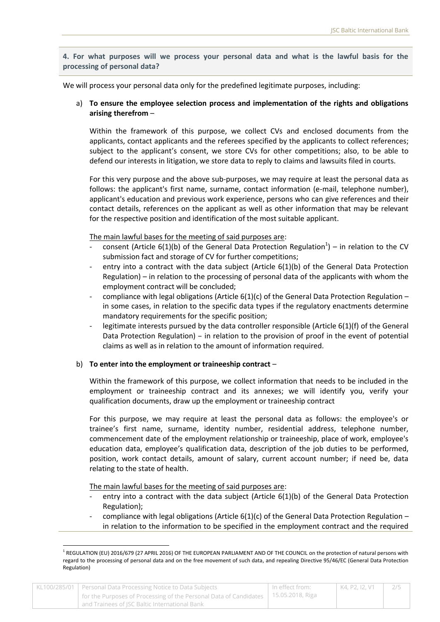**4. For what purposes will we process your personal data and what is the lawful basis for the processing of personal data?**

We will process your personal data only for the predefined legitimate purposes, including:

# a) **To ensure the employee selection process and implementation of the rights and obligations arising therefrom** –

Within the framework of this purpose, we collect CVs and enclosed documents from the applicants, contact applicants and the referees specified by the applicants to collect references; subject to the applicant's consent, we store CVs for other competitions; also, to be able to defend our interests in litigation, we store data to reply to claims and lawsuits filed in courts.

For this very purpose and the above sub-purposes, we may require at least the personal data as follows: the applicant's first name, surname, contact information (e-mail, telephone number), applicant's education and previous work experience, persons who can give references and their contact details, references on the applicant as well as other information that may be relevant for the respective position and identification of the most suitable applicant.

The main lawful bases for the meeting of said purposes are:

- consent (Article  $6(1)(b)$  of the General Data Protection Regulation<sup>1</sup>) in relation to the CV submission fact and storage of CV for further competitions;
- entry into a contract with the data subject (Article 6(1)(b) of the General Data Protection Regulation) – in relation to the processing of personal data of the applicants with whom the employment contract will be concluded;
- compliance with legal obligations (Article  $6(1)(c)$  of the General Data Protection Regulation in some cases, in relation to the specific data types if the regulatory enactments determine mandatory requirements for the specific position;
- legitimate interests pursued by the data controller responsible (Article  $6(1)(f)$  of the General Data Protection Regulation) – in relation to the provision of proof in the event of potential claims as well as in relation to the amount of information required.

## b) **To enter into the employment or traineeship contract** –

Within the framework of this purpose, we collect information that needs to be included in the employment or traineeship contract and its annexes; we will identify you, verify your qualification documents, draw up the employment or traineeship contract

For this purpose, we may require at least the personal data as follows: the employee's or trainee's first name, surname, identity number, residential address, telephone number, commencement date of the employment relationship or traineeship, place of work, employee's education data, employee's qualification data, description of the job duties to be performed, position, work contact details, amount of salary, current account number; if need be, data relating to the state of health.

The main lawful bases for the meeting of said purposes are:

**.** 

- entry into a contract with the data subject (Article 6(1)(b) of the General Data Protection Regulation);
- compliance with legal obligations (Article  $6(1)(c)$  of the General Data Protection Regulation in relation to the information to be specified in the employment contract and the required

| KL100/285/01   Personal Data Processing Notice to Data Subjects                                                                       | In effect from: | K4. P2. I2. V1 |  |
|---------------------------------------------------------------------------------------------------------------------------------------|-----------------|----------------|--|
| for the Purposes of Processing of the Personal Data of Candidates   15.05.2018, Riga<br>and Trainees of ISC Baltic International Bank |                 |                |  |

<sup>&</sup>lt;sup>1</sup> REGULATION (EU) 2016/679 (27 APRIL 2016) OF THE EUROPEAN PARLIAMENT AND OF THE COUNCIL on the protection of natural persons with regard to the processing of personal data and on the free movement of such data, and repealing Directive 95/46/EC (General Data Protection Regulation)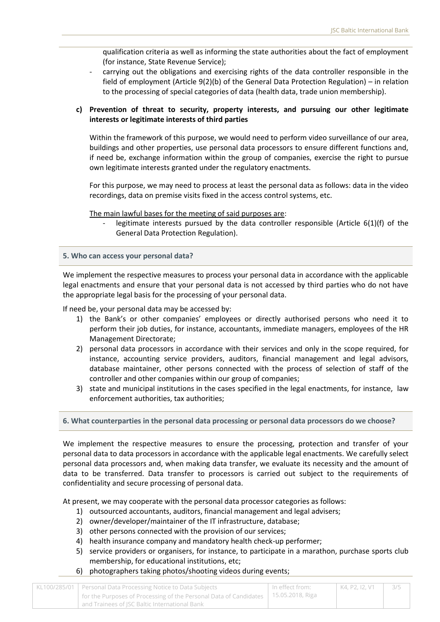qualification criteria as well as informing the state authorities about the fact of employment (for instance, State Revenue Service);

carrying out the obligations and exercising rights of the data controller responsible in the field of employment (Article 9(2)(b) of the General Data Protection Regulation) – in relation to the processing of special categories of data (health data, trade union membership).

# **c) Prevention of threat to security, property interests, and pursuing our other legitimate interests or legitimate interests of third parties**

Within the framework of this purpose, we would need to perform video surveillance of our area, buildings and other properties, use personal data processors to ensure different functions and, if need be, exchange information within the group of companies, exercise the right to pursue own legitimate interests granted under the regulatory enactments.

For this purpose, we may need to process at least the personal data as follows: data in the video recordings, data on premise visits fixed in the access control systems, etc.

The main lawful bases for the meeting of said purposes are:

legitimate interests pursued by the data controller responsible (Article  $6(1)(f)$  of the General Data Protection Regulation).

#### **5. Who can access your personal data?**

We implement the respective measures to process your personal data in accordance with the applicable legal enactments and ensure that your personal data is not accessed by third parties who do not have the appropriate legal basis for the processing of your personal data.

If need be, your personal data may be accessed by:

- 1) the Bank's or other companies' employees or directly authorised persons who need it to perform their job duties, for instance, accountants, immediate managers, employees of the HR Management Directorate;
- 2) personal data processors in accordance with their services and only in the scope required, for instance, accounting service providers, auditors, financial management and legal advisors, database maintainer, other persons connected with the process of selection of staff of the controller and other companies within our group of companies;
- 3) state and municipal institutions in the cases specified in the legal enactments, for instance, law enforcement authorities, tax authorities;

## **6. What counterparties in the personal data processing or personal data processors do we choose?**

We implement the respective measures to ensure the processing, protection and transfer of your personal data to data processors in accordance with the applicable legal enactments. We carefully select personal data processors and, when making data transfer, we evaluate its necessity and the amount of data to be transferred. Data transfer to processors is carried out subject to the requirements of confidentiality and secure processing of personal data.

At present, we may cooperate with the personal data processor categories as follows:

- 1) outsourced accountants, auditors, financial management and legal advisers;
- 2) owner/developer/maintainer of the IT infrastructure, database;
- 3) other persons connected with the provision of our services;
- 4) health insurance company and mandatory health check-up performer;
- 5) service providers or organisers, for instance, to participate in a marathon, purchase sports club membership, for educational institutions, etc;
- 6) photographers taking photos/shooting videos during events;

| KL100/285/01   Personal Data Processing Notice to Data Subjects                         | l In effect from: | K4. P2. I2. V1 | 3/5 |
|-----------------------------------------------------------------------------------------|-------------------|----------------|-----|
| 15.05.2018, Riga 1 for containing of the Personal Data of Candidates   15.05.2018, Riga |                   |                |     |
| and Trainees of ISC Baltic International Bank                                           |                   |                |     |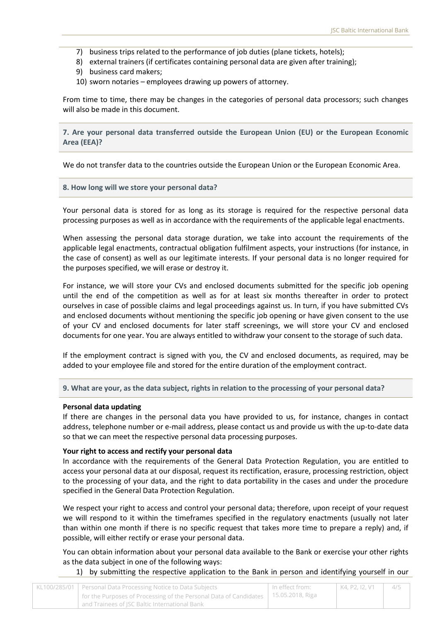- 7) business trips related to the performance of job duties (plane tickets, hotels);
- 8) external trainers (if certificates containing personal data are given after training);
- 9) business card makers;
- 10) sworn notaries employees drawing up powers of attorney.

From time to time, there may be changes in the categories of personal data processors; such changes will also be made in this document.

**7. Are your personal data transferred outside the European Union (EU) or the European Economic Area (EEA)?**

We do not transfer data to the countries outside the European Union or the European Economic Area.

#### **8. How long will we store your personal data?**

Your personal data is stored for as long as its storage is required for the respective personal data processing purposes as well as in accordance with the requirements of the applicable legal enactments.

When assessing the personal data storage duration, we take into account the requirements of the applicable legal enactments, contractual obligation fulfilment aspects, your instructions (for instance, in the case of consent) as well as our legitimate interests. If your personal data is no longer required for the purposes specified, we will erase or destroy it.

For instance, we will store your CVs and enclosed documents submitted for the specific job opening until the end of the competition as well as for at least six months thereafter in order to protect ourselves in case of possible claims and legal proceedings against us. In turn, if you have submitted CVs and enclosed documents without mentioning the specific job opening or have given consent to the use of your CV and enclosed documents for later staff screenings, we will store your CV and enclosed documents for one year. You are always entitled to withdraw your consent to the storage of such data.

If the employment contract is signed with you, the CV and enclosed documents, as required, may be added to your employee file and stored for the entire duration of the employment contract.

**9. What are your, as the data subject, rights in relation to the processing of your personal data?**

#### **Personal data updating**

If there are changes in the personal data you have provided to us, for instance, changes in contact address, telephone number or e-mail address, please contact us and provide us with the up-to-date data so that we can meet the respective personal data processing purposes.

#### **Your right to access and rectify your personal data**

In accordance with the requirements of the General Data Protection Regulation, you are entitled to access your personal data at our disposal, request its rectification, erasure, processing restriction, object to the processing of your data, and the right to data portability in the cases and under the procedure specified in the General Data Protection Regulation.

We respect your right to access and control your personal data; therefore, upon receipt of your request we will respond to it within the timeframes specified in the regulatory enactments (usually not later than within one month if there is no specific request that takes more time to prepare a reply) and, if possible, will either rectify or erase your personal data.

You can obtain information about your personal data available to the Bank or exercise your other rights as the data subject in one of the following ways:

1) by submitting the respective application to the Bank in person and identifying yourself in our

| KL100/285/01   Personal Data Processing Notice to Data Subjects                                   | In effect from: | K4, P2, I2, V1 | - 4/5 |
|---------------------------------------------------------------------------------------------------|-----------------|----------------|-------|
| <sup>1</sup> for the Purposes of Processing of the Personal Data of Candidates   15.05.2018, Riga |                 |                |       |
| and Trainees of ISC Baltic International Bank                                                     |                 |                |       |